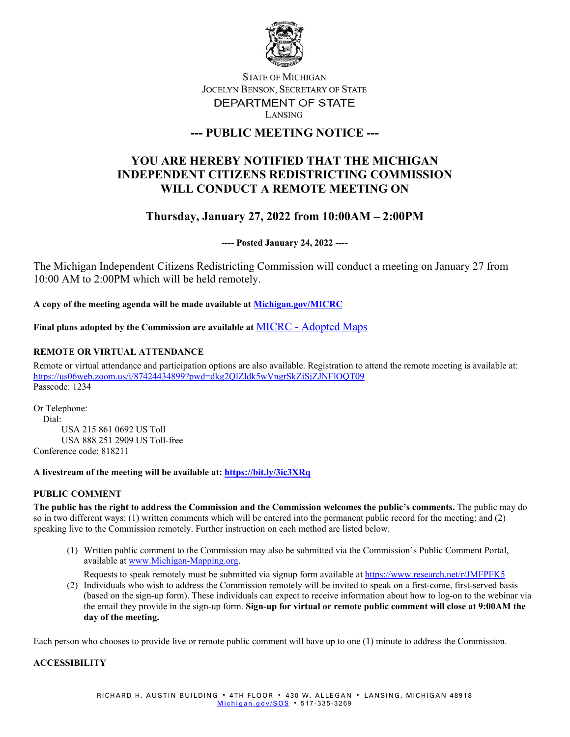

## **STATE OF MICHIGAN** JOCELYN BENSON, SECRETARY OF STATE DEPARTMENT OF STATE LANSING

# **--- PUBLIC MEETING NOTICE ---**

# **YOU ARE HEREBY NOTIFIED THAT THE MICHIGAN INDEPENDENT CITIZENS REDISTRICTING COMMISSION WILL CONDUCT A REMOTE MEETING ON**

# **Thursday, January 27, 2022 from 10:00AM – 2:00PM**

**---- Posted January 24, 2022 ----**

The Michigan Independent Citizens Redistricting Commission will conduct a meeting on January 27 from 10:00 AM to 2:00PM which will be held remotely.

**A copy of the meeting agenda will be made available at [Michigan.gov/MICRC](http://www.michigan.gov/MICRC)**

**Final plans adopted by the Commission are available at** MICRC - [Adopted Maps](https://www.michigan.gov/micrc/0,10083,7-418-107190_108607---,00.html)

## **REMOTE OR VIRTUAL ATTENDANCE**

Remote or virtual attendance and participation options are also available. Registration to attend the remote meeting is available at: <https://us06web.zoom.us/j/87424434899?pwd=dkg2QlZldk5wVngrSkZiSjZJNFlOQT09> Passcode: 1234

Or Telephone: Dial: USA 215 861 0692 US Toll USA 888 251 2909 US Toll-free Conference code: 818211

#### **A livestream of the meeting will be available at:<https://bit.ly/3ic3XRq>**

### **PUBLIC COMMENT**

**The public has the right to address the Commission and the Commission welcomes the public's comments.** The public may do so in two different ways: (1) written comments which will be entered into the permanent public record for the meeting; and (2) speaking live to the Commission remotely. Further instruction on each method are listed below.

(1) Written public comment to the Commission may also be submitted via the Commission's Public Comment Portal, available at [www.Michigan-Mapping.org.](http://www.michigan-mapping.org/)

Requests to speak remotely must be submitted via signup form available at<https://www.research.net/r/JMFPFK5>

(2) Individuals who wish to address the Commission remotely will be invited to speak on a first-come, first-served basis (based on the sign-up form). These individuals can expect to receive information about how to log-on to the webinar via the email they provide in the sign-up form. **Sign-up for virtual or remote public comment will close at 9:00AM the day of the meeting.**

Each person who chooses to provide live or remote public comment will have up to one (1) minute to address the Commission.

### **ACCESSIBILITY**